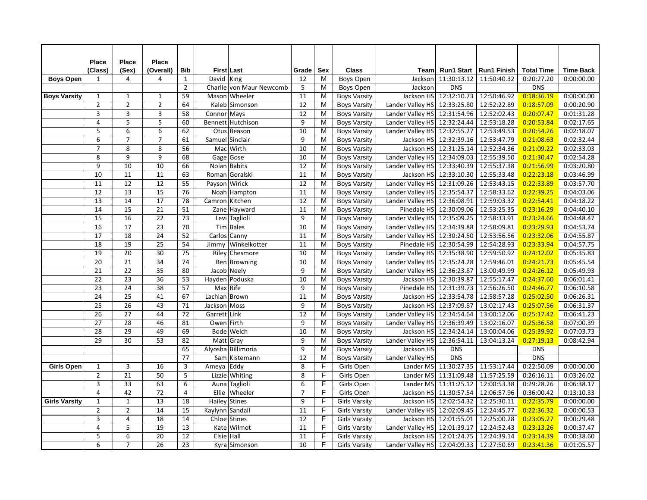|                      | Place           | Place                     | <b>Place</b>    |                 |                 |                          |                 |                |                      |                                            |                         |                    |                   |                  |
|----------------------|-----------------|---------------------------|-----------------|-----------------|-----------------|--------------------------|-----------------|----------------|----------------------|--------------------------------------------|-------------------------|--------------------|-------------------|------------------|
|                      | (Class)         | (Sex)                     | (Overall)       | <b>Bib</b>      |                 | <b>First Last</b>        | Grade           | Sex            | <b>Class</b>         |                                            | Team Run1 Start         | <b>Run1 Finish</b> | <b>Total Time</b> | <b>Time Back</b> |
| <b>Boys Open</b>     | $\mathbf{1}$    | $\overline{4}$            | $\overline{4}$  | 1               | David King      |                          | 12              | M              | Boys Open            |                                            | Jackson 11:30:13.12     | 11:50:40.32        | 0:20:27.20        | 0:00:00.00       |
|                      |                 |                           |                 | $\overline{2}$  |                 | Charlie von Maur Newcomb | 5               | M              | Boys Open            | Jackson                                    | <b>DNS</b>              |                    | <b>DNS</b>        |                  |
| <b>Boys Varsity</b>  | $\mathbf{1}$    | $\mathbf{1}$              | $\mathbf{1}$    | 59              |                 | Mason Wheeler            | 11              | M              | <b>Boys Varsity</b>  |                                            | Jackson HS 12:32:10.73  | 12:50:46.92        | 0:18:36.19        | 0:00:00.00       |
|                      | $\overline{2}$  | $\overline{2}$            | $\overline{2}$  | 64              |                 | Kaleb Simonson           | 12              | М              | <b>Boys Varsity</b>  | Lander Valley HS 12:33:25.80               |                         | 12:52:22.89        | 0:18:57.09        | 0:00:20.90       |
|                      | $\mathsf 3$     | $\overline{\mathbf{3}}$   | 3               | 58              | Connor Mays     |                          | 12              | M              | <b>Boys Varsity</b>  | Lander Valley HS 12:31:54.96               |                         | 12:52:02.43        | 0:20:07.47        | 0:01:31.28       |
|                      | $\overline{4}$  | $\overline{5}$            | $\overline{5}$  | 60              |                 | Bennett Hutchison        | $\overline{9}$  | $\overline{M}$ | <b>Boys Varsity</b>  | Lander Valley HS 12:32:24.44               |                         | 12:53:18.28        | 0:20:53.84        | 0:02:17.65       |
|                      | 5               | 6                         | 6               | 62              |                 | Otus Beason              | 10              | M              | <b>Boys Varsity</b>  | Lander Valley HS 12:32:55.27               |                         | 12:53:49.53        | 0:20:54.26        | 0:02:18.07       |
|                      | $6\overline{6}$ | $\overline{7}$            | $\overline{7}$  | 61              |                 | Samuel Sinclair          | 9               | M              | <b>Boys Varsity</b>  |                                            | Jackson HS 12:32:39.16  | 12:53:47.79        | 0:21:08.63        | 0:02:32.44       |
|                      | $\overline{7}$  | 8                         | 8               | 56              |                 | Mac Wirth                | 10              | M              | <b>Boys Varsity</b>  |                                            | Jackson HS 12:31:25.14  | 12:52:34.36        | 0:21:09.22        | 0:02:33.03       |
|                      | 8               | $\overline{9}$            | 9               | 68              |                 | Gage Gose                | 10              | M              | <b>Boys Varsity</b>  | Lander Valley HS 12:34:09.03               |                         | 12:55:39.50        | 0:21:30.47        | 0:02:54.28       |
|                      | 9               | 10                        | 10              | 66              |                 | Nolan Babits             | 12              | M              | <b>Boys Varsity</b>  | Lander Valley HS 12:33:40.39               |                         | 12:55:37.38        | 0:21:56.99        | 0:03:20.80       |
|                      | 10              | 11                        | 11              | 63              |                 | Roman Goralski           | 11              | м              | <b>Boys Varsity</b>  |                                            | Jackson HS 12:33:10.30  | 12:55:33.48        | 0:22:23.18        | 0:03:46.99       |
|                      | 11              | $\overline{12}$           | $\overline{12}$ | 55              |                 | Payson Wirick            | 12              | M              | <b>Boys Varsity</b>  | Lander Valley HS 12:31:09.26               |                         | 12:53:43.15        | 0:22:33.89        | 0:03:57.70       |
|                      | 12              | 13                        | 15              | 76              |                 | Noah Hampton             | 11              | M              | <b>Boys Varsity</b>  | Lander Valley HS 12:35:54.37               |                         | 12:58:33.62        | 0:22:39.25        | 0:04:03.06       |
|                      | $\overline{13}$ | $\overline{14}$           | $\overline{17}$ | 78              | Camron Kitchen  |                          | 12              | $\overline{M}$ | <b>Boys Varsity</b>  | Lander Valley HS 12:36:08.91               |                         | 12:59:03.32        | 0:22:54.41        | 0:04:18.22       |
|                      | 14              | $\overline{15}$           | 21              | 51              |                 | Zane Hayward             | 11              | M              | <b>Boys Varsity</b>  |                                            | Pinedale HS 12:30:09.06 | 12:53:25.35        | 0:23:16.29        | 0:04:40.10       |
|                      | $\overline{15}$ | $\overline{16}$           | $\overline{22}$ | 73              |                 | Levi Taglioli            | 9               | M              | <b>Boys Varsity</b>  | Lander Valley HS 12:35:09.25               |                         | 12:58:33.91        | 0:23:24.66        | 0:04:48.47       |
|                      | 16              | $\overline{17}$           | $\overline{23}$ | 70              |                 | Tim Bales                | 10              | м              | <b>Boys Varsity</b>  | Lander Valley HS 12:34:39.88               |                         | 12:58:09.81        | 0:23:29.93        | 0:04:53.74       |
|                      | 17              | $\overline{18}$           | 24              | 52              |                 | Carlos Canny             | 11              | M              | <b>Boys Varsity</b>  | Lander Valley HS 12:30:24.50               |                         | 12:53:56.56        | 0:23:32.06        | 0:04:55.87       |
|                      | 18              | 19                        | 25              | 54              |                 | Jimmy Winkelkotter       | 11              | M              | <b>Boys Varsity</b>  |                                            | Pinedale HS 12:30:54.99 | 12:54:28.93        | 0:23:33.94        | 0:04:57.75       |
|                      | $\overline{19}$ | $\overline{20}$           | $\overline{30}$ | 75              |                 | Riley Chesmore           | 10              | M              | <b>Boys Varsity</b>  | Lander Valley HS 12:35:38.90               |                         | 12:59:50.92        | 0:24:12.02        | 0:05:35.83       |
|                      | $\overline{20}$ | $\overline{21}$           | $\overline{34}$ | 74              |                 | Ben Browning             | 10              | M              | <b>Boys Varsity</b>  | Lander Valley HS 12:35:24.28               |                         | 12:59:46.01        | 0:24:21.73        | 0:05:45.54       |
|                      | 21              | $\overline{22}$           | $\overline{35}$ | 80              |                 | Jacob Neely              | 9               | M              | <b>Boys Varsity</b>  | Lander Valley HS 12:36:23.87               |                         | 13:00:49.99        | 0:24:26.12        | 0:05:49.93       |
|                      | $\overline{22}$ | 23                        | 36              | 53              |                 | Hayden Poduska           | 10              | м              | <b>Boys Varsity</b>  |                                            | Jackson HS 12:30:39.87  | 12:55:17.47        | 0:24:37.60        | 0:06:01.41       |
|                      | $\overline{23}$ | $\overline{24}$           | $\overline{38}$ | $\overline{57}$ | Max Rife        |                          | 9               | M              | <b>Boys Varsity</b>  |                                            | Pinedale HS 12:31:39.73 | 12:56:26.50        | 0:24:46.77        | 0:06:10.58       |
|                      | 24              | 25                        | 41              | 67              | Lachlan Brown   |                          | 11              | M              | <b>Boys Varsity</b>  |                                            | Jackson HS 12:33:54.78  | 12:58:57.28        | 0:25:02.50        | 0:06:26.31       |
|                      | $\overline{25}$ | $\overline{26}$           | 43              | 71              | Jackson Moss    |                          | 9               | M              | <b>Boys Varsity</b>  |                                            | Jackson HS 12:37:09.87  | 13:02:17.43        | 0:25:07.56        | 0:06:31.37       |
|                      | $\overline{26}$ | $\overline{27}$           | 44              | 72              | Garrett Link    |                          | 12              | M              | <b>Boys Varsity</b>  | Lander Valley HS 12:34:54.64               |                         | 13:00:12.06        | 0:25:17.42        | 0:06:41.23       |
|                      | 27              | $\overline{28}$           | 46              | 81              | Owen Firth      |                          | 9               | M              | <b>Boys Varsity</b>  | Lander Valley HS 12:36:39.49               |                         | 13:02:16.07        | 0:25:36.58        | 0:07:00.39       |
|                      | 28              | 29                        | 49              | 69              |                 | <b>Bode Welch</b>        | 10              | M              | <b>Boys Varsity</b>  |                                            | Jackson HS 12:34:24.14  | 13:00:04.06        | 0:25:39.92        | 0:07:03.73       |
|                      | 29              | 30                        | 53              | 82              |                 | Matt Gray                | 9               | M              | <b>Boys Varsity</b>  | Lander Valley HS 12:36:54.11               |                         | 13:04:13.24        | 0:27:19.13        | 0:08:42.94       |
|                      |                 |                           |                 | 65              |                 | Alyosha Billimoria       | $\overline{9}$  | M              | <b>Boys Varsity</b>  | Jackson HS                                 | <b>DNS</b>              |                    | <b>DNS</b>        |                  |
|                      |                 |                           |                 | 77              |                 | Sam Kistemann            | 12              | M              | <b>Boys Varsity</b>  | Lander Valley HS                           | <b>DNS</b>              |                    | <b>DNS</b>        |                  |
| <b>Girls Open</b>    | $\mathbf{1}$    | $\ensuremath{\mathsf{3}}$ | 16              | 3               | Ameya Eddy      |                          | 8               | F              | Girls Open           |                                            | Lander MS 11:30:27.35   | 11:53:17.44        | 0:22:50.09        | 0:00:00.00       |
|                      | $\overline{2}$  | $\overline{21}$           | 50              | 5               |                 | Lizzie Whiting           | 8               | F              | Girls Open           |                                            | Lander MS 11:31:09.48   | 11:57:25.59        | 0:26:16.11        | 0:03:26.02       |
|                      | 3               | $\overline{33}$           | 63              | 6               |                 | Auna Taglioli            | 6               | F              | Girls Open           |                                            | Lander MS 11:31:25.12   | 12:00:53.38        | 0:29:28.26        | 0:06:38.17       |
|                      | $\overline{4}$  | 42                        | $\overline{72}$ | 4               |                 | Ellie Wheeler            | $\overline{7}$  | F              | Girls Open           |                                            | Jackson HS 11:30:57.54  | 12:06:57.96        | 0:36:00.42        | 0:13:10.33       |
| <b>Girls Varsity</b> | $\mathbf{1}$    | $\mathbf{1}$              | 13              | 18              |                 | Hailey Stines            | 9               | F              | <b>Girls Varsity</b> |                                            | Jackson HS 12:02:54.32  | 12:25:30.11        | 0:22:35.79        | 0:00:00.00       |
|                      | $\overline{2}$  | $\overline{2}$            | 14              | 15              | Kaylynn Sandall |                          | 11              | F              | <b>Girls Varsity</b> | Lander Valley HS 12:02:09.45               |                         | 12:24:45.77        | 0:22:36.32        | 0:00:00.53       |
|                      | 3               | $\sqrt{4}$                | 18              | 14              |                 | Chloe Stines             | 12              | F              | <b>Girls Varsity</b> |                                            | Jackson HS 12:01:55.01  | 12:25:00.28        | 0:23:05.27        | 0:00:29.48       |
|                      | $\overline{4}$  | 5                         | 19              | 13              |                 | Kate Wilmot              | 11              | F              | <b>Girls Varsity</b> | Lander Valley HS 12:01:39.17               |                         | 12:24:52.43        | 0:23:13.26        | 0:00:37.47       |
|                      | 5               | $\boldsymbol{6}$          | $\overline{20}$ | 12              | Elsie Hall      |                          | $\overline{11}$ | F              | <b>Girls Varsity</b> |                                            | Jackson HS 12:01:24.75  | 12:24:39.14        | 0:23:14.39        | 0:00:38.60       |
|                      | 6               | $\overline{7}$            | $\overline{26}$ | 23              |                 | Kyra Simonson            | 10              | F              | <b>Girls Varsity</b> | Lander Valley HS 12:04:09.33   12:27:50.69 |                         |                    | 0:23:41.36        | 0:01:05.57       |
|                      |                 |                           |                 |                 |                 |                          |                 |                |                      |                                            |                         |                    |                   |                  |